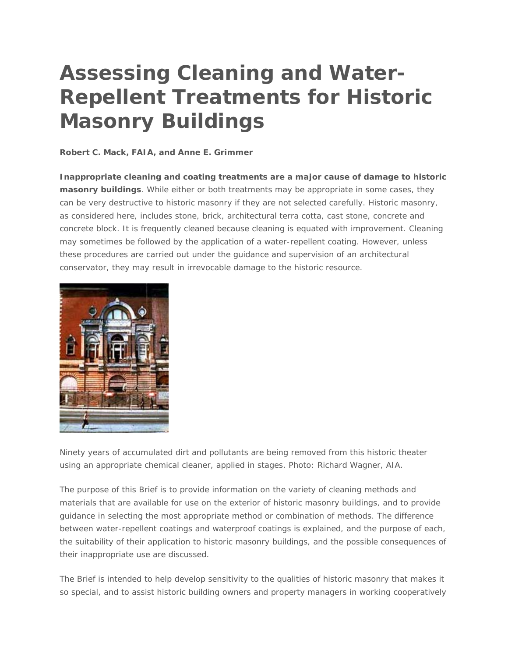## **Assessing Cleaning and Water-Repellent Treatments for Historic Masonry Buildings**

**Robert C. Mack, FAIA, and Anne E. Grimmer**

**Inappropriate cleaning and coating treatments are a major cause of damage to historic masonry buildings**. While either or both treatments may be appropriate in some cases, they can be very destructive to historic masonry if they are not selected carefully. Historic masonry, as considered here, includes stone, brick, architectural terra cotta, cast stone, concrete and concrete block. It is frequently cleaned because cleaning is equated with improvement. Cleaning may sometimes be followed by the application of a water-repellent coating. However, unless these procedures are carried out under the guidance and supervision of an architectural conservator, they may result in irrevocable damage to the historic resource.



Ninety years of accumulated dirt and pollutants are being removed from this historic theater using an appropriate chemical cleaner, applied in stages. Photo: Richard Wagner, AIA.

The purpose of this Brief is to provide information on the variety of cleaning methods and materials that are available for use on the *exterior* of historic masonry buildings, and to provide guidance in selecting the most appropriate method or combination of methods. The difference between water-repellent coatings and waterproof coatings is explained, and the purpose of each, the suitability of their application to historic masonry buildings, and the possible consequences of their inappropriate use are discussed.

The Brief is intended to help develop sensitivity to the qualities of historic masonry that makes it so special, and to assist historic building owners and property managers in working cooperatively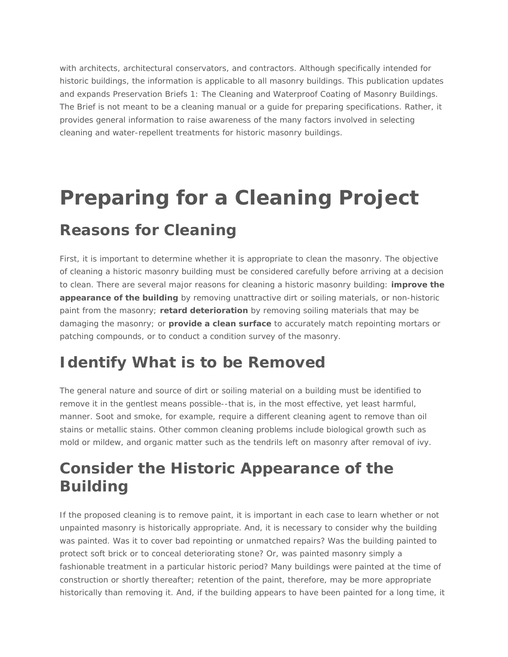with architects, architectural conservators, and contractors. Although specifically intended for historic buildings, the information is applicable to all masonry buildings. This publication updates and expands *Preservation Briefs 1: The Cleaning and Waterproof Coating of Masonry Buildings.*  The Brief is not meant to be a cleaning manual or a guide for preparing specifications. Rather, it provides general information to raise awareness of the many factors involved in selecting cleaning and water-repellent treatments for historic masonry buildings.

# **Preparing for a Cleaning Project**

### **Reasons for Cleaning**

First, it is important to determine whether it is appropriate to clean the masonry. The objective of cleaning a historic masonry building must be considered carefully before arriving at a decision to clean. There are several major reasons for cleaning a historic masonry building: **improve the appearance of the building** by removing unattractive dirt or soiling materials, or non-historic paint from the masonry; **retard deterioration** by removing soiling materials that may be damaging the masonry; or **provide a clean surface** to accurately match repointing mortars or patching compounds, or to conduct a condition survey of the masonry.

### **Identify What is to be Removed**

The general nature and source of dirt or soiling material on a building must be identified to remove it in the gentlest means possible--that is, in the most effective, yet least harmful, manner. Soot and smoke, for example, require a different cleaning agent to remove than oil stains or metallic stains. Other common cleaning problems include biological growth such as mold or mildew, and organic matter such as the tendrils left on masonry after removal of ivy.

### **Consider the Historic Appearance of the Building**

If the proposed cleaning is to remove paint, it is important in each case to learn whether or not unpainted masonry is historically appropriate. And, it is necessary to consider why the building was painted. Was it to cover bad repointing or unmatched repairs? Was the building painted to protect soft brick or to conceal deteriorating stone? Or, was painted masonry simply a fashionable treatment in a particular historic period? Many buildings were painted at the time of construction or shortly thereafter; retention of the paint, therefore, may be more appropriate historically than removing it. And, if the building appears to have been painted for a long time, it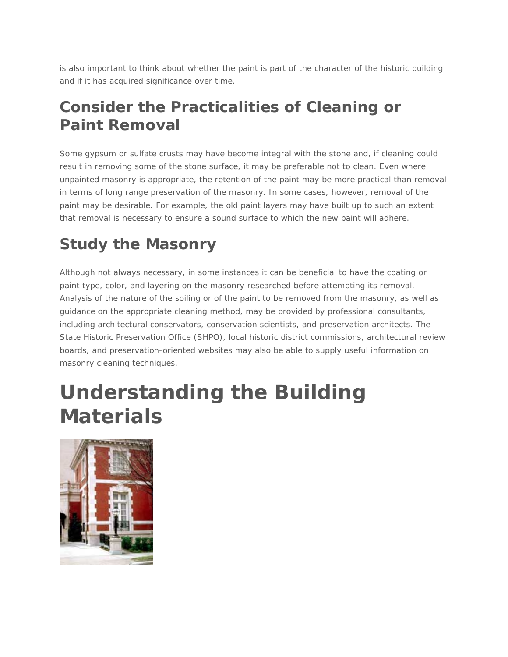is also important to think about whether the paint is part of the character of the historic building and if it has acquired significance over time.

### **Consider the Practicalities of Cleaning or Paint Removal**

Some gypsum or sulfate crusts may have become integral with the stone and, if cleaning could result in removing some of the stone surface, it may be preferable not to clean. Even where unpainted masonry is appropriate, the retention of the paint may be more practical than removal in terms of long range preservation of the masonry. In some cases, however, removal of the paint may be desirable. For example, the old paint layers may have built up to such an extent that removal is necessary to ensure a sound surface to which the new paint will adhere.

### **Study the Masonry**

Although not always necessary, in some instances it can be beneficial to have the coating or paint type, color, and layering on the masonry researched before attempting its removal. Analysis of the nature of the soiling or of the paint to be removed from the masonry, as well as guidance on the appropriate cleaning method, may be provided by professional consultants, including architectural conservators, conservation scientists, and preservation architects. The State Historic Preservation Office (SHPO), local historic district commissions, architectural review boards, and preservation-oriented websites may also be able to supply useful information on masonry cleaning techniques.

## **Understanding the Building Materials**

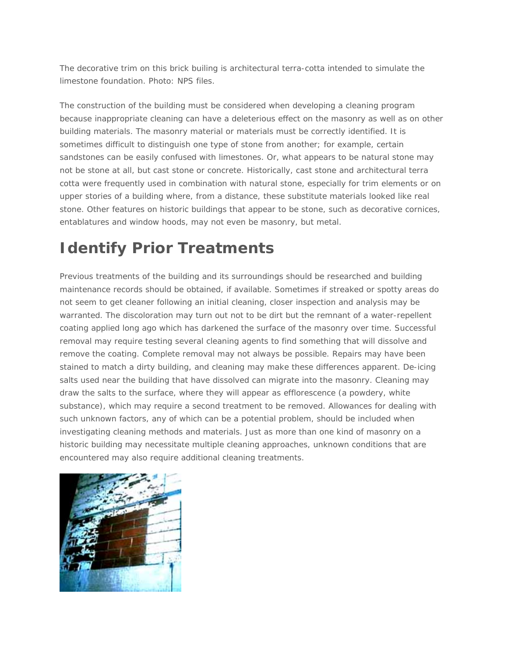The decorative trim on this brick builing is architectural terra-cotta intended to simulate the limestone foundation. Photo: NPS files.

The construction of the building must be considered when developing a cleaning program because inappropriate cleaning can have a deleterious effect on the masonry as well as on other building materials. The masonry material or materials must be correctly identified. It is sometimes difficult to distinguish one type of stone from another; for example, certain sandstones can be easily confused with limestones. Or, what appears to be natural stone may not be stone at all, but cast stone or concrete. Historically, cast stone and architectural terra cotta were frequently used in combination with natural stone, especially for trim elements or on upper stories of a building where, from a distance, these substitute materials looked like real stone. Other features on historic buildings that appear to be stone, such as decorative cornices, entablatures and window hoods, may not even be masonry, but metal.

### **Identify Prior Treatments**

Previous treatments of the building and its surroundings should be researched and building maintenance records should be obtained, if available. Sometimes if streaked or spotty areas do not seem to get cleaner following an initial cleaning, closer inspection and analysis may be warranted. The discoloration may turn out not to be dirt but the remnant of a water-repellent coating applied long ago which has darkened the surface of the masonry over time. Successful removal may require testing several cleaning agents to find something that will dissolve and remove the coating. Complete removal may not always be possible. Repairs may have been stained to match a dirty building, and cleaning may make these differences apparent. De-icing salts used near the building that have dissolved can migrate into the masonry. Cleaning may draw the salts to the surface, where they will appear as efflorescence (a powdery, white substance), which may require a second treatment to be removed. Allowances for dealing with such unknown factors, any of which can be a potential problem, should be included when investigating cleaning methods and materials. Just as more than one kind of masonry on a historic building may necessitate multiple cleaning approaches, unknown conditions that are encountered may also require additional cleaning treatments.

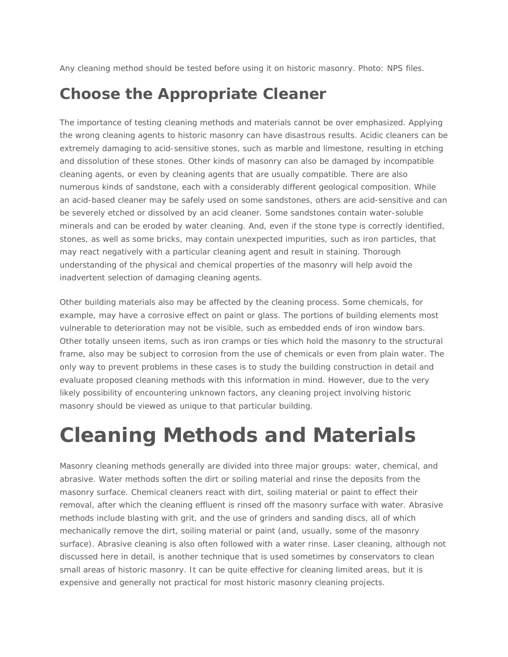Any cleaning method should be tested before using it on historic masonry. Photo: NPS files.

### **Choose the Appropriate Cleaner**

The importance of testing cleaning methods and materials cannot be over emphasized. Applying the wrong cleaning agents to historic masonry can have disastrous results. Acidic cleaners can be extremely damaging to acid-sensitive stones, such as marble and limestone, resulting in etching and dissolution of these stones. Other kinds of masonry can also be damaged by incompatible cleaning agents, or even by cleaning agents that are usually compatible. There are also numerous kinds of sandstone, each with a considerably different geological composition. While an acid-based cleaner may be safely used on some sandstones, others are acid-sensitive and can be severely etched or dissolved by an acid cleaner. Some sandstones contain water-soluble minerals and can be eroded by water cleaning. And, even if the stone type is correctly identified, stones, as well as some bricks, may contain unexpected impurities, such as iron particles, that may react negatively with a particular cleaning agent and result in staining. Thorough understanding of the physical and chemical properties of the masonry will help avoid the inadvertent selection of damaging cleaning agents.

Other building materials also may be affected by the cleaning process. Some chemicals, for example, may have a corrosive effect on paint or glass. The portions of building elements most vulnerable to deterioration may not be visible, such as embedded ends of iron window bars. Other totally unseen items, such as iron cramps or ties which hold the masonry to the structural frame, also may be subject to corrosion from the use of chemicals or even from plain water. The only way to prevent problems in these cases is to study the building construction in detail and evaluate proposed cleaning methods with this information in mind. However, due to the very likely possibility of encountering unknown factors, any cleaning project involving historic masonry should be viewed as unique to that particular building.

## **Cleaning Methods and Materials**

Masonry cleaning methods generally are divided into three major groups: water, chemical, and abrasive. *Water methods* soften the dirt or soiling material and rinse the deposits from the masonry surface. *Chemical cleaners* react with dirt, soiling material or paint to effect their removal, after which the cleaning effluent is rinsed off the masonry surface with water. *Abrasive methods* include blasting with grit, and the use of grinders and sanding discs, all of which mechanically remove the dirt, soiling material or paint (and, usually, some of the masonry surface). Abrasive cleaning is also often followed with a water rinse. *Laser cleaning*, although not discussed here in detail, is another technique that is used sometimes by conservators to clean small areas of historic masonry. It can be quite effective for cleaning limited areas, but it is expensive and generally not practical for most historic masonry cleaning projects.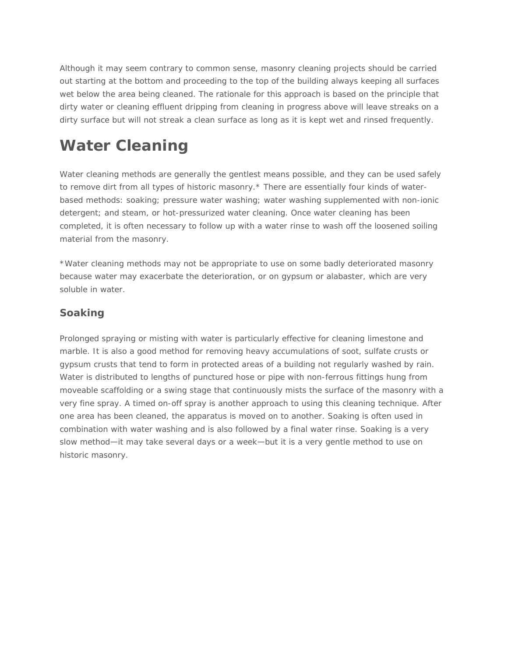Although it may seem contrary to common sense, masonry cleaning projects should be carried out starting at the bottom and proceeding to the top of the building always keeping all surfaces wet below the area being cleaned. The rationale for this approach is based on the principle that dirty water or cleaning effluent dripping from cleaning in progress above will leave streaks on a dirty surface but will not streak a clean surface as long as it is kept wet and rinsed frequently.

### **Water Cleaning**

Water cleaning methods are generally the *gentlest means possible*, and they can be used safely to remove dirt from all types of historic masonry.\* There are essentially four kinds of waterbased methods: soaking; pressure water washing; water washing supplemented with non-ionic detergent; and steam, or hot-pressurized water cleaning. Once water cleaning has been completed, it is often necessary to follow up with a water rinse to wash off the loosened soiling material from the masonry.

\**Water cleaning methods may not be appropriate to use on some badly deteriorated masonry because water may exacerbate the deterioration, or on gypsum or alabaster, which are very soluble in water.*

#### **Soaking**

Prolonged spraying or misting with water is particularly effective for cleaning limestone and marble. It is also a good method for removing heavy accumulations of soot, sulfate crusts or gypsum crusts that tend to form in protected areas of a building not regularly washed by rain. Water is distributed to lengths of punctured hose or pipe with non-ferrous fittings hung from moveable scaffolding or a swing stage that continuously mists the surface of the masonry with a very fine spray. A timed on-off spray is another approach to using this cleaning technique. After one area has been cleaned, the apparatus is moved on to another. Soaking is often used in combination with water washing and is also followed by a final water rinse. Soaking is a very slow method—it may take several days or a week—but it is a very gentle method to use on historic masonry.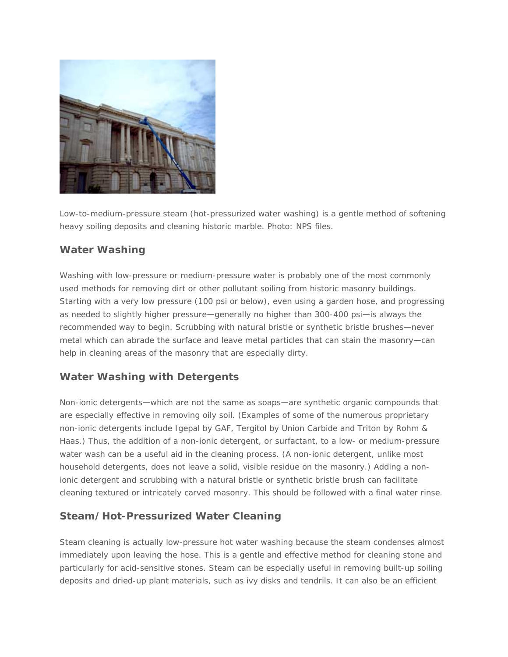

Low-to-medium-pressure steam (hot-pressurized water washing) is a gentle method of softening heavy soiling deposits and cleaning historic marble. Photo: NPS files.

#### **Water Washing**

Washing with low-pressure or medium-pressure water is probably one of the most commonly used methods for removing dirt or other pollutant soiling from historic masonry buildings. Starting with a very low pressure (100 psi or below), even using a garden hose, and progressing as needed to slightly higher pressure—generally no higher than 300-400 psi—is always the recommended way to begin. Scrubbing with natural bristle or synthetic bristle brushes—never metal which can abrade the surface and leave metal particles that can stain the masonry—can help in cleaning areas of the masonry that are especially dirty.

#### **Water Washing with Detergents**

Non-ionic detergents—which are not the same as soaps—are synthetic organic compounds that are especially effective in removing oily soil. (Examples of some of the numerous proprietary non-ionic detergents include Igepal by GAF, Tergitol by Union Carbide and Triton by Rohm & Haas.) Thus, the addition of a non-ionic detergent, or surfactant, to a low- or medium-pressure water wash can be a useful aid in the cleaning process. (A non-ionic detergent, unlike most household detergents, does not leave a solid, visible residue on the masonry.) Adding a nonionic detergent and scrubbing with a natural bristle or synthetic bristle brush can facilitate cleaning textured or intricately carved masonry. This should be followed with a final water rinse.

#### **Steam/Hot-Pressurized Water Cleaning**

Steam cleaning is actually low-pressure hot water washing because the steam condenses almost immediately upon leaving the hose. This is a gentle and effective method for cleaning stone and particularly for acid-sensitive stones. Steam can be especially useful in removing built-up soiling deposits and dried-up plant materials, such as ivy disks and tendrils. It can also be an efficient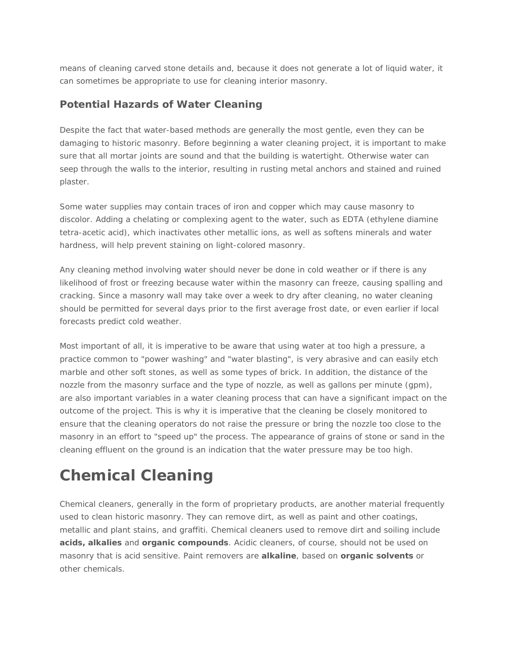means of cleaning carved stone details and, because it does not generate a lot of liquid water, it can sometimes be appropriate to use for cleaning interior masonry.

#### **Potential Hazards of Water Cleaning**

Despite the fact that water-based methods are generally the most gentle, even they can be damaging to historic masonry. Before beginning a water cleaning project, it is important to make sure that all mortar joints are sound and that the building is watertight. Otherwise water can seep through the walls to the interior, resulting in rusting metal anchors and stained and ruined plaster.

Some water supplies may contain traces of iron and copper which may cause masonry to discolor. Adding a chelating or complexing agent to the water, such as EDTA (ethylene diamine tetra-acetic acid), which inactivates other metallic ions, as well as softens minerals and water hardness, will help prevent staining on light-colored masonry.

Any cleaning method involving water should never be done in cold weather or if there is any likelihood of frost or freezing because water within the masonry can freeze, causing spalling and cracking. Since a masonry wall may take over a week to dry after cleaning, no water cleaning should be permitted for several days prior to the first average frost date, or even earlier if local forecasts predict cold weather.

Most important of all, it is imperative to be aware that using water at too high a pressure, a practice common to "power washing" and "water blasting", is very abrasive and can easily etch marble and other soft stones, as well as some types of brick. In addition, the distance of the nozzle from the masonry surface and the type of nozzle, as well as gallons per minute (gpm), are also important variables in a water cleaning process that can have a significant impact on the outcome of the project. This is why it is imperative that the cleaning be closely monitored to ensure that the cleaning operators do not raise the pressure or bring the nozzle too close to the masonry in an effort to "speed up" the process. The appearance of grains of stone or sand in the cleaning effluent on the ground is an indication that the water pressure may be too high.

### **Chemical Cleaning**

Chemical cleaners, generally in the form of proprietary products, are another material frequently used to clean historic masonry. They can remove dirt, as well as paint and other coatings, metallic and plant stains, and graffiti. Chemical cleaners used to remove dirt and soiling include **acids, alkalies** and **organic compounds**. Acidic cleaners, of course, should not be used on masonry that is acid sensitive. Paint removers are **alkaline**, based on **organic solvents** or other chemicals.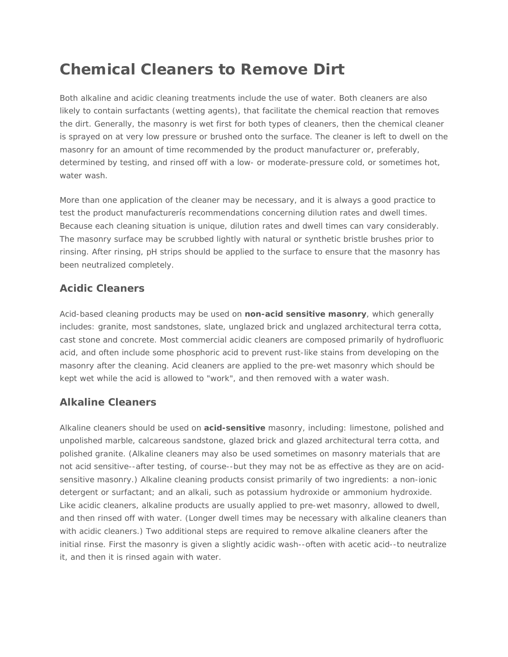### **Chemical Cleaners to Remove Dirt**

Both alkaline and acidic cleaning treatments include the use of water. Both cleaners are also likely to contain surfactants (wetting agents), that facilitate the chemical reaction that removes the dirt. Generally, the masonry is wet first for both types of cleaners, then the chemical cleaner is sprayed on at very low pressure or brushed onto the surface. The cleaner is left to dwell on the masonry for an amount of time recommended by the product manufacturer or, preferably, determined by testing, and rinsed off with a low- or moderate-pressure cold, or sometimes hot, water wash.

More than one application of the cleaner may be necessary, and it is always a good practice to test the product manufacturerís recommendations concerning dilution rates and dwell times. Because each cleaning situation is unique, dilution rates and dwell times can vary considerably. The masonry surface may be scrubbed lightly with natural or synthetic bristle brushes prior to rinsing. After rinsing, pH strips should be applied to the surface to ensure that the masonry has been neutralized completely.

#### **Acidic Cleaners**

Acid-based cleaning products may be used on **non-acid sensitive masonry**, which generally includes: granite, most sandstones, slate, unglazed brick and unglazed architectural terra cotta, cast stone and concrete. Most commercial acidic cleaners are composed primarily of hydrofluoric acid, and often include some phosphoric acid to prevent rust-like stains from developing on the masonry after the cleaning. Acid cleaners are applied to the pre-wet masonry which should be kept wet while the acid is allowed to "work", and then removed with a water wash.

#### **Alkaline Cleaners**

Alkaline cleaners should be used on **acid-sensitive** masonry, including: limestone, polished and unpolished marble, calcareous sandstone, glazed brick and glazed architectural terra cotta, and polished granite. (Alkaline cleaners may also be used sometimes on masonry materials that are not acid sensitive--after testing, of course--but they may not be as effective as they are on acidsensitive masonry.) Alkaline cleaning products consist primarily of two ingredients: a non-ionic detergent or surfactant; and an alkali, such as potassium hydroxide or ammonium hydroxide. Like acidic cleaners, alkaline products are usually applied to pre-wet masonry, allowed to dwell, and then rinsed off with water. (Longer dwell times may be necessary with alkaline cleaners than with acidic cleaners.) Two additional steps are required to remove alkaline cleaners after the initial rinse. First the masonry is given a slightly acidic wash--often with acetic acid--to neutralize it, and then it is rinsed again with water.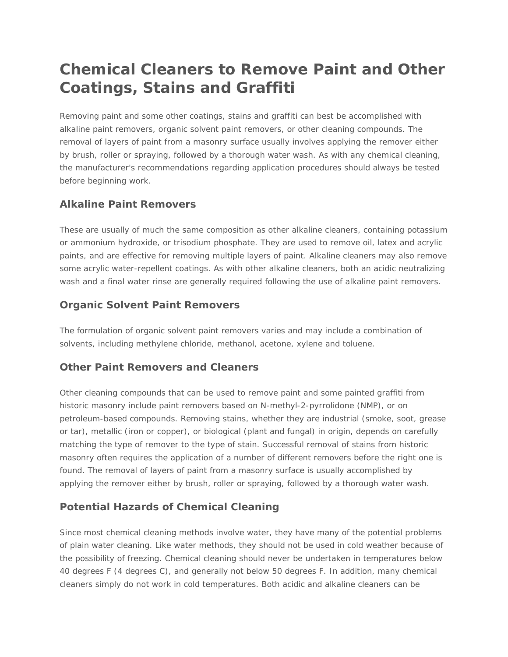### **Chemical Cleaners to Remove Paint and Other Coatings, Stains and Graffiti**

Removing paint and some other coatings, stains and graffiti can best be accomplished with alkaline paint removers, organic solvent paint removers, or other cleaning compounds. The removal of layers of paint from a masonry surface usually involves applying the remover either by brush, roller or spraying, followed by a thorough water wash. As with any chemical cleaning, the manufacturer's recommendations regarding application procedures should always be tested before beginning work.

#### **Alkaline Paint Removers**

These are usually of much the same composition as other alkaline cleaners, containing potassium or ammonium hydroxide, or trisodium phosphate. They are used to remove oil, latex and acrylic paints, and are effective for removing multiple layers of paint. Alkaline cleaners may also remove some acrylic water-repellent coatings. As with other alkaline cleaners, both an acidic neutralizing wash and a final water rinse are generally required following the use of alkaline paint removers.

#### **Organic Solvent Paint Removers**

The formulation of organic solvent paint removers varies and may include a combination of solvents, including methylene chloride, methanol, acetone, xylene and toluene.

#### **Other Paint Removers and Cleaners**

Other cleaning compounds that can be used to remove paint and some painted graffiti from historic masonry include paint removers based on N-methyl-2-pyrrolidone (NMP), or on petroleum-based compounds. Removing stains, whether they are industrial (smoke, soot, grease or tar), metallic (iron or copper), or biological (plant and fungal) in origin, depends on carefully matching the type of remover to the type of stain. Successful removal of stains from historic masonry often requires the application of a number of different removers before the right one is found. The removal of layers of paint from a masonry surface is usually accomplished by applying the remover either by brush, roller or spraying, followed by a thorough water wash.

#### **Potential Hazards of Chemical Cleaning**

Since most chemical cleaning methods involve water, they have many of the potential problems of plain water cleaning. Like water methods, they should not be used in cold weather because of the possibility of freezing. Chemical cleaning should never be undertaken in temperatures below 40 degrees F (4 degrees C), and generally not below 50 degrees F. In addition, many chemical cleaners simply do not work in cold temperatures. Both acidic and alkaline cleaners can be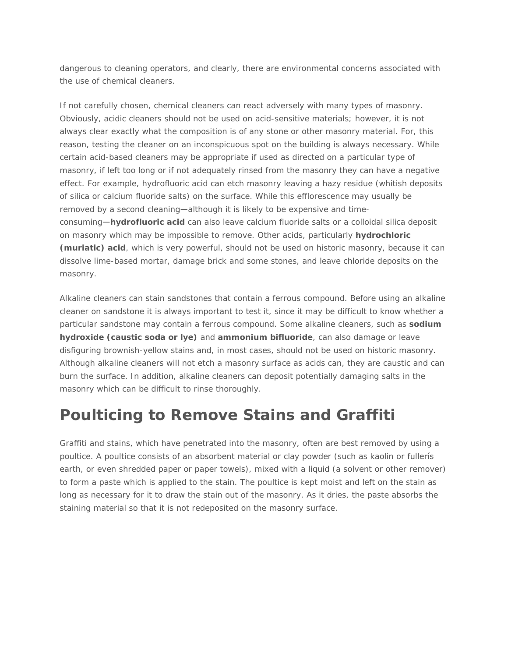dangerous to cleaning operators, and clearly, there are environmental concerns associated with the use of chemical cleaners.

If not carefully chosen, chemical cleaners can react adversely with many types of masonry. Obviously, acidic cleaners should not be used on acid-sensitive materials; however, it is not always clear exactly what the composition is of any stone or other masonry material. For, this reason, testing the cleaner on an inconspicuous spot on the building is always necessary. While certain acid-based cleaners may be appropriate if used as directed on a particular type of masonry, if left too long or if not adequately rinsed from the masonry they can have a negative effect. For example, hydrofluoric acid can etch masonry leaving a hazy residue (whitish deposits of silica or calcium fluoride salts) on the surface. While this efflorescence may usually be removed by a second cleaning—although it is likely to be expensive and timeconsuming—**hydrofluoric acid** can also leave calcium fluoride salts or a colloidal silica deposit on masonry which may be impossible to remove. Other acids, particularly **hydrochloric (muriatic) acid**, which is very powerful, should not be used on historic masonry, because it can dissolve lime-based mortar, damage brick and some stones, and leave chloride deposits on the masonry.

Alkaline cleaners can stain sandstones that contain a ferrous compound. Before using an alkaline cleaner on sandstone it is always important to test it, since it may be difficult to know whether a particular sandstone may contain a ferrous compound. Some alkaline cleaners, such as **sodium hydroxide (caustic soda or lye)** and **ammonium bifluoride**, can also damage or leave disfiguring brownish-yellow stains and, in most cases, should not be used on historic masonry. Although alkaline cleaners will not etch a masonry surface as acids can, they are caustic and can burn the surface. In addition, alkaline cleaners can deposit potentially damaging salts in the masonry which can be difficult to rinse thoroughly.

### **Poulticing to Remove Stains and Graffiti**

Graffiti and stains, which have penetrated into the masonry, often are best removed by using a poultice. A poultice consists of an absorbent material or clay powder (such as kaolin or fullerís earth, or even shredded paper or paper towels), mixed with a liquid (a solvent or other remover) to form a paste which is applied to the stain. The poultice is kept moist and left on the stain as long as necessary for it to draw the stain out of the masonry. As it dries, the paste absorbs the staining material so that it is not redeposited on the masonry surface.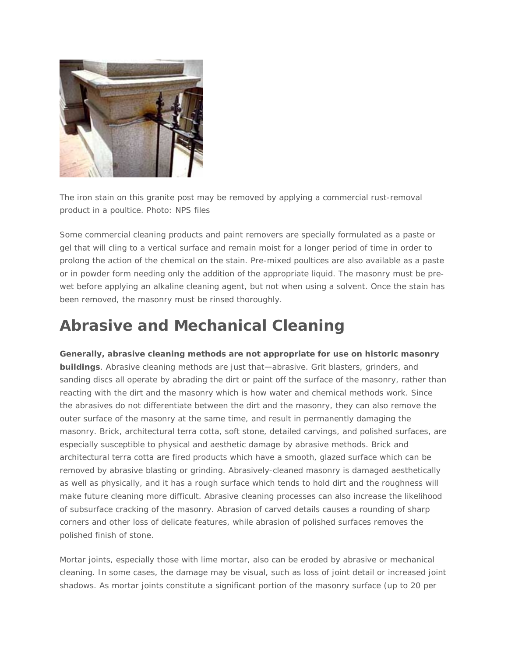

The iron stain on this granite post may be removed by applying a commercial rust-removal product in a poultice. Photo: NPS files

Some commercial cleaning products and paint removers are specially formulated as a paste or gel that will cling to a vertical surface and remain moist for a longer period of time in order to prolong the action of the chemical on the stain. Pre-mixed poultices are also available as a paste or in powder form needing only the addition of the appropriate liquid. The masonry must be prewet before applying an alkaline cleaning agent, but not when using a solvent. Once the stain has been removed, the masonry must be rinsed thoroughly.

### **Abrasive and Mechanical Cleaning**

**Generally, abrasive cleaning methods are not appropriate for use on historic masonry buildings**. Abrasive cleaning methods are just that—abrasive. Grit blasters, grinders, and sanding discs all operate by abrading the dirt or paint off the surface of the masonry, rather than reacting with the dirt and the masonry which is how water and chemical methods work. Since the abrasives do not differentiate between the dirt and the masonry, they can also remove the outer surface of the masonry at the same time, and result in permanently damaging the masonry. Brick, architectural terra cotta, soft stone, detailed carvings, and polished surfaces, are especially susceptible to physical and aesthetic damage by abrasive methods. Brick and architectural terra cotta are fired products which have a smooth, glazed surface which can be removed by abrasive blasting or grinding. Abrasively-cleaned masonry is damaged aesthetically as well as physically, and it has a rough surface which tends to hold dirt and the roughness will make future cleaning more difficult. Abrasive cleaning processes can also increase the likelihood of subsurface cracking of the masonry. Abrasion of carved details causes a rounding of sharp corners and other loss of delicate features, while abrasion of polished surfaces removes the polished finish of stone.

Mortar joints, especially those with lime mortar, also can be eroded by abrasive or mechanical cleaning. In some cases, the damage may be visual, such as loss of joint detail or increased joint shadows. As mortar joints constitute a significant portion of the masonry surface (up to 20 per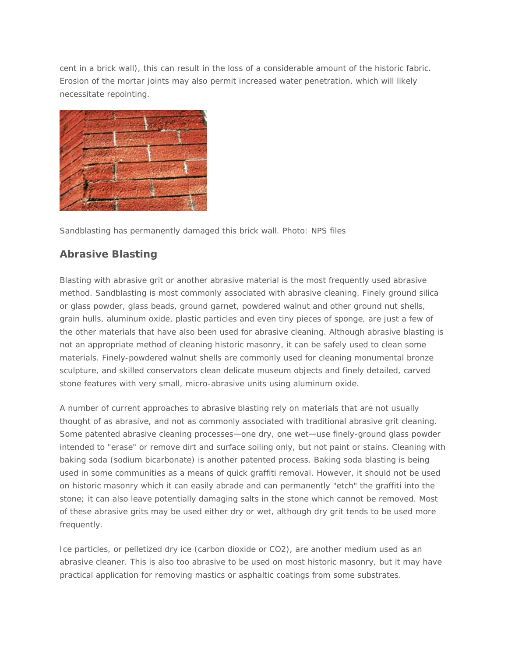cent in a brick wall), this can result in the loss of a considerable amount of the historic fabric. Erosion of the mortar joints may also permit increased water penetration, which will likely necessitate repointing.



Sandblasting has permanently damaged this brick wall. Photo: NPS files

#### **Abrasive Blasting**

Blasting with abrasive grit or another abrasive material is the most frequently used abrasive method. Sandblasting is most commonly associated with abrasive cleaning. Finely ground silica or glass powder, glass beads, ground garnet, powdered walnut and other ground nut shells, grain hulls, aluminum oxide, plastic particles and even tiny pieces of sponge, are just a few of the other materials that have also been used for abrasive cleaning. Although abrasive blasting is not an appropriate method of cleaning historic masonry, it can be safely used to clean some materials. Finely-powdered walnut shells are commonly used for cleaning monumental bronze sculpture, and skilled conservators clean delicate museum objects and finely detailed, carved stone features with very small, micro-abrasive units using aluminum oxide.

A number of current approaches to abrasive blasting rely on materials that are not usually thought of as abrasive, and not as commonly associated with traditional abrasive grit cleaning. Some patented abrasive cleaning processes—one dry, one wet—use finely-ground glass powder intended to "erase" or remove dirt and surface soiling only, but not paint or stains. Cleaning with baking soda (sodium bicarbonate) is another patented process. Baking soda blasting is being used in some communities as a means of quick graffiti removal. However, it should not be used on historic masonry which it can easily abrade and can permanently "etch" the graffiti into the stone; it can also leave potentially damaging salts in the stone which cannot be removed. Most of these abrasive grits may be used either dry or wet, although dry grit tends to be used more frequently.

Ice particles, or pelletized dry ice (carbon dioxide or CO2), are another medium used as an abrasive cleaner. This is also too abrasive to be used on most historic masonry, but it may have practical application for removing mastics or asphaltic coatings from some substrates.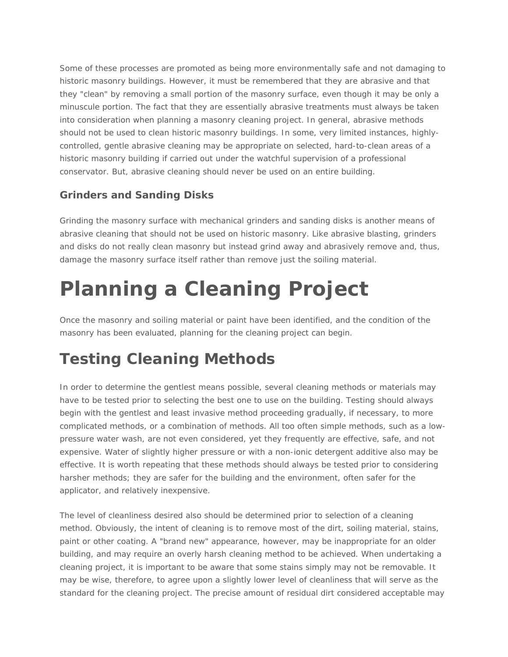Some of these processes are promoted as being more environmentally safe and not damaging to historic masonry buildings. However, it must be remembered that they are abrasive and that they "clean" by removing a small portion of the masonry surface, even though it may be only a minuscule portion. The fact that they are essentially abrasive treatments must always be taken into consideration when planning a masonry cleaning project. In general, abrasive methods should not be used to clean historic masonry buildings. In some, very limited instances, highlycontrolled, gentle abrasive cleaning may be appropriate on selected, hard-to-clean areas of a historic masonry building if carried out under the watchful supervision of a professional conservator. But, abrasive cleaning should never be used on an entire building.

#### **Grinders and Sanding Disks**

Grinding the masonry surface with mechanical grinders and sanding disks is another means of abrasive cleaning that should not be used on historic masonry. Like abrasive blasting, grinders and disks do not really clean masonry but instead grind away and abrasively remove and, thus, damage the masonry surface itself rather than remove just the soiling material.

## **Planning a Cleaning Project**

Once the masonry and soiling material or paint have been identified, and the condition of the masonry has been evaluated, planning for the cleaning project can begin.

### **Testing Cleaning Methods**

In order to determine the *gentlest means possible*, several cleaning methods or materials may have to be tested prior to selecting the best one to use on the building. Testing should always begin with the gentlest and least invasive method proceeding gradually, if necessary, to more complicated methods, or a combination of methods. All too often simple methods, such as a lowpressure water wash, are not even considered, yet they frequently are effective, safe, and not expensive. Water of slightly higher pressure or with a non-ionic detergent additive also may be effective. It is worth repeating that these methods should always be tested prior to considering harsher methods; they are safer for the building and the environment, often safer for the applicator, and relatively inexpensive.

The level of cleanliness desired also should be determined prior to selection of a cleaning method. Obviously, the intent of cleaning is to remove most of the dirt, soiling material, stains, paint or other coating. A "brand new" appearance, however, may be inappropriate for an older building, and may require an overly harsh cleaning method to be achieved. When undertaking a cleaning project, it is important to be aware that some stains simply may not be removable. It may be wise, therefore, to agree upon a slightly lower level of cleanliness that will serve as the standard for the cleaning project. The precise amount of residual dirt considered acceptable may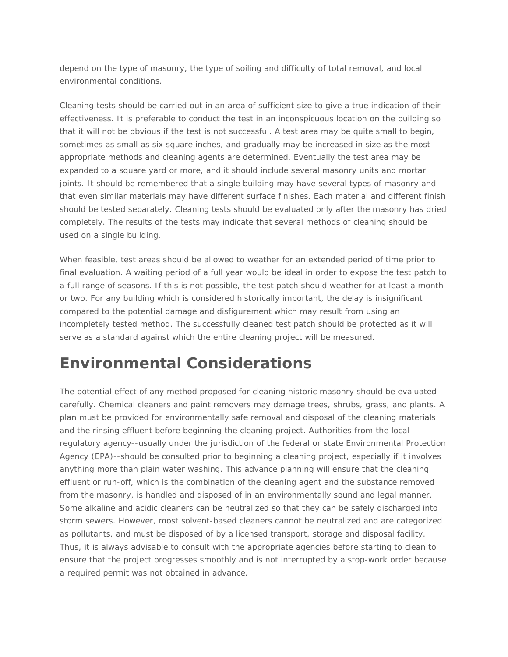depend on the type of masonry, the type of soiling and difficulty of total removal, and local environmental conditions.

Cleaning tests should be carried out in an area of sufficient size to give a true indication of their effectiveness. It is preferable to conduct the test in an inconspicuous location on the building so that it will not be obvious if the test is not successful. A test area may be quite small to begin, sometimes as small as six square inches, and gradually may be increased in size as the most appropriate methods and cleaning agents are determined. Eventually the test area may be expanded to a square yard or more, and it should include several masonry units and mortar joints. It should be remembered that a single building may have several types of masonry and that even similar materials may have different surface finishes. Each material and different finish should be tested separately. Cleaning tests should be evaluated only after the masonry has dried completely. *The results of the tests may indicate that several methods of cleaning should be used on a single building*.

When feasible, test areas should be allowed to weather for an extended period of time prior to final evaluation. A waiting period of a full year would be ideal in order to expose the test patch to a full range of seasons. If this is not possible, the test patch should weather for at least a month or two. For any building which is considered historically important, the delay is insignificant compared to the potential damage and disfigurement which may result from using an incompletely tested method. *The successfully cleaned test patch should be protected as it will serve as a standard against which the entire cleaning project will be measured*.

### **Environmental Considerations**

The potential effect of any method proposed for cleaning historic masonry should be evaluated carefully. Chemical cleaners and paint removers may damage trees, shrubs, grass, and plants. A plan must be provided for environmentally safe removal and disposal of the cleaning materials and the rinsing effluent before beginning the cleaning project. Authorities from the local regulatory agency--usually under the jurisdiction of the federal or state Environmental Protection Agency (EPA)--should be consulted prior to beginning a cleaning project, especially if it involves anything more than plain water washing. This advance planning will ensure that the cleaning effluent or run-off, which is the combination of the cleaning agent and the substance removed from the masonry, is handled and disposed of in an environmentally sound and legal manner. Some alkaline and acidic cleaners can be neutralized so that they can be safely discharged into storm sewers. However, most solvent-based cleaners cannot be neutralized and are categorized as pollutants, and must be disposed of by a licensed transport, storage and disposal facility. Thus, it is always advisable to consult with the appropriate agencies before starting to clean to ensure that the project progresses smoothly and is not interrupted by a stop-work order because a required permit was not obtained in advance.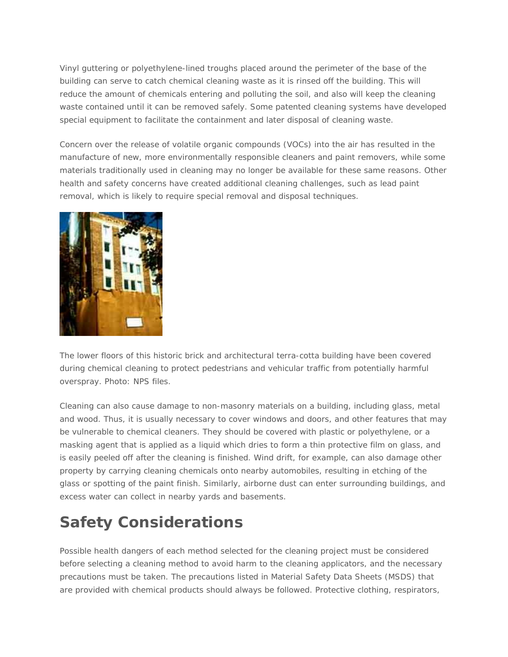Vinyl guttering or polyethylene-lined troughs placed around the perimeter of the base of the building can serve to catch chemical cleaning waste as it is rinsed off the building. This will reduce the amount of chemicals entering and polluting the soil, and also will keep the cleaning waste contained until it can be removed safely. Some patented cleaning systems have developed special equipment to facilitate the containment and later disposal of cleaning waste.

Concern over the release of volatile organic compounds (VOCs) into the air has resulted in the manufacture of new, more environmentally responsible cleaners and paint removers, while some materials traditionally used in cleaning may no longer be available for these same reasons. Other health and safety concerns have created additional cleaning challenges, such as lead paint removal, which is likely to require special removal and disposal techniques.



The lower floors of this historic brick and architectural terra-cotta building have been covered during chemical cleaning to protect pedestrians and vehicular traffic from potentially harmful overspray. Photo: NPS files.

Cleaning can also cause damage to non-masonry materials on a building, including glass, metal and wood. Thus, it is usually necessary to cover windows and doors, and other features that may be vulnerable to chemical cleaners. They should be covered with plastic or polyethylene, or a masking agent that is applied as a liquid which dries to form a thin protective film on glass, and is easily peeled off after the cleaning is finished. Wind drift, for example, can also damage other property by carrying cleaning chemicals onto nearby automobiles, resulting in etching of the glass or spotting of the paint finish. Similarly, airborne dust can enter surrounding buildings, and excess water can collect in nearby yards and basements.

### **Safety Considerations**

Possible health dangers of each method selected for the cleaning project must be considered before selecting a cleaning method to avoid harm to the cleaning applicators, and the necessary precautions must be taken. The precautions listed in Material Safety Data Sheets (MSDS) that are provided with chemical products should always be followed. Protective clothing, respirators,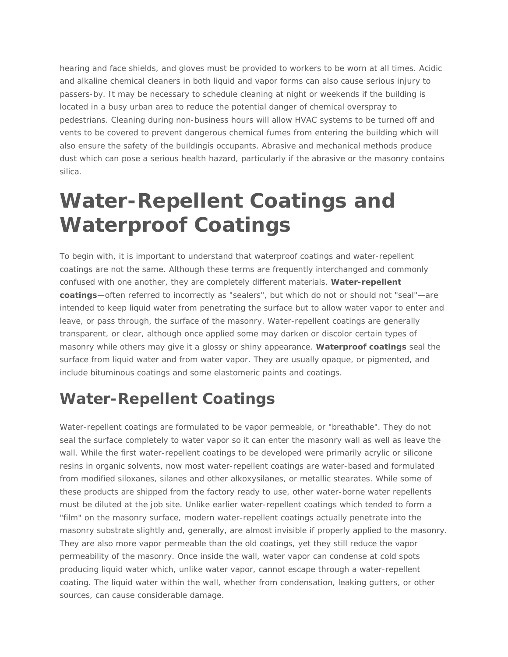hearing and face shields, and gloves must be provided to workers to be worn at all times. Acidic and alkaline chemical cleaners in both liquid and vapor forms can also cause serious injury to passers-by. It may be necessary to schedule cleaning at night or weekends if the building is located in a busy urban area to reduce the potential danger of chemical overspray to pedestrians. Cleaning during non-business hours will allow HVAC systems to be turned off and vents to be covered to prevent dangerous chemical fumes from entering the building which will also ensure the safety of the buildingís occupants. Abrasive and mechanical methods produce dust which can pose a serious health hazard, particularly if the abrasive or the masonry contains silica.

## **Water-Repellent Coatings and Waterproof Coatings**

To begin with, it is important to understand that waterproof coatings and water-repellent coatings are not the same. Although these terms are frequently interchanged and commonly confused with one another, they are completely different materials. **Water-repellent coatings**—often referred to incorrectly as "sealers", but which do not or should not "seal"—are intended to keep liquid water from penetrating the surface but to allow water vapor to enter and leave, or pass through, the surface of the masonry. Water-repellent coatings are generally transparent, or clear, although once applied some may darken or discolor certain types of masonry while others may give it a glossy or shiny appearance. **Waterproof coatings** seal the surface from liquid water and from water vapor. They are usually opaque, or pigmented, and include bituminous coatings and some elastomeric paints and coatings.

### **Water-Repellent Coatings**

Water-repellent coatings are formulated to be vapor permeable, or "breathable". They do not seal the surface completely to water vapor so it can enter the masonry wall as well as leave the wall. While the first water-repellent coatings to be developed were primarily acrylic or silicone resins in organic solvents, now most water-repellent coatings are water-based and formulated from modified siloxanes, silanes and other alkoxysilanes, or metallic stearates. While some of these products are shipped from the factory ready to use, other water-borne water repellents must be diluted at the job site. Unlike earlier water-repellent coatings which tended to form a "film" on the masonry surface, modern water-repellent coatings actually penetrate into the masonry substrate slightly and, generally, are almost invisible if properly applied to the masonry. They are also more vapor permeable than the old coatings, yet they still reduce the vapor permeability of the masonry. Once inside the wall, water vapor can condense at cold spots producing liquid water which, unlike water vapor, cannot escape through a water-repellent coating. The liquid water within the wall, whether from condensation, leaking gutters, or other sources, can cause considerable damage.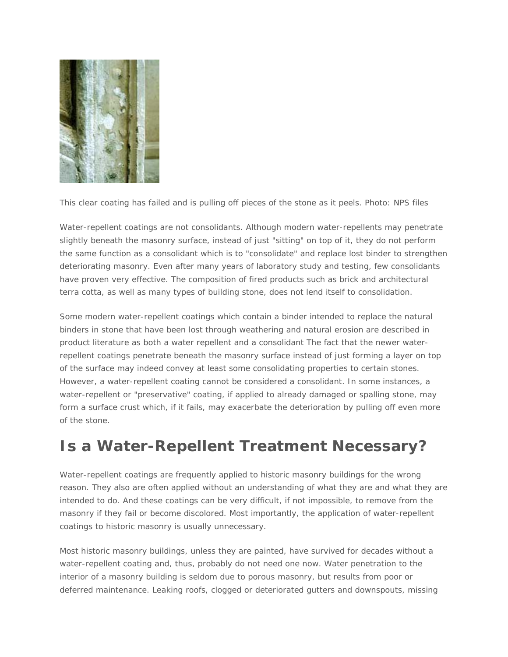

This clear coating has failed and is pulling off pieces of the stone as it peels. Photo: NPS files

Water-repellent coatings are not consolidants. Although modern water-repellents may penetrate slightly beneath the masonry surface, instead of just "sitting" on top of it, they do not perform the same function as a consolidant which is to "consolidate" and replace lost binder to strengthen deteriorating masonry. Even after many years of laboratory study and testing, few consolidants have proven very effective. The composition of fired products such as brick and architectural terra cotta, as well as many types of building stone, does not lend itself to consolidation.

Some modern water-repellent coatings which contain a binder intended to replace the natural binders in stone that have been lost through weathering and natural erosion are described in product literature as both a water repellent and a consolidant The fact that the newer waterrepellent coatings penetrate beneath the masonry surface instead of just forming a layer on top of the surface may indeed convey at least some consolidating properties to certain stones. However, a water-repellent coating cannot be considered a consolidant. In some instances, a water-repellent or "preservative" coating, if applied to already damaged or spalling stone, may form a surface crust which, if it fails, may exacerbate the deterioration by pulling off even more of the stone.

### **Is a Water-Repellent Treatment Necessary?**

Water-repellent coatings are frequently applied to historic masonry buildings for the wrong reason. They also are often applied without an understanding of what they are and what they are intended to do. And these coatings can be very difficult, if not impossible, to remove from the masonry if they fail or become discolored. Most importantly, the application of water-repellent coatings to historic masonry is usually unnecessary.

Most historic masonry buildings, unless they are painted, have survived for decades without a water-repellent coating and, thus, probably do not need one now. Water penetration to the interior of a masonry building is seldom due to porous masonry, but results from poor or deferred maintenance. Leaking roofs, clogged or deteriorated gutters and downspouts, missing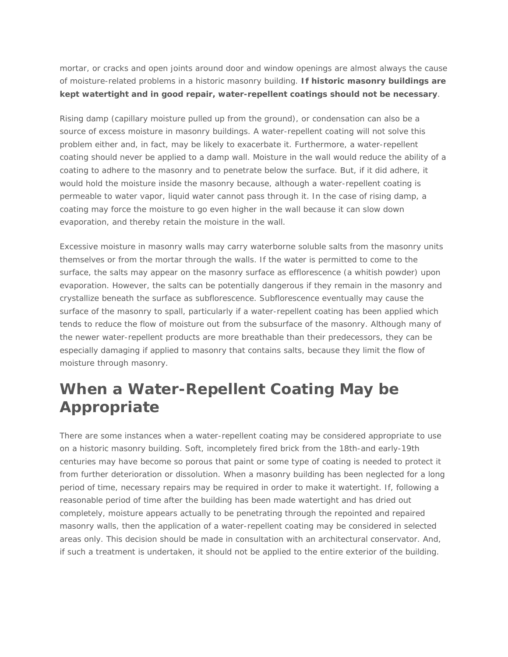mortar, or cracks and open joints around door and window openings are almost always the cause of moisture-related problems in a historic masonry building. **If historic masonry buildings are kept watertight and in good repair, water-repellent coatings should not be necessary**.

Rising damp (capillary moisture pulled up from the ground), or condensation can also be a source of excess moisture in masonry buildings. A water-repellent coating will not solve this problem either and, in fact, may be likely to exacerbate it. Furthermore, a water-repellent coating should never be applied to a damp wall. Moisture in the wall would reduce the ability of a coating to adhere to the masonry and to penetrate below the surface. But, if it did adhere, it would hold the moisture inside the masonry because, although a water-repellent coating is permeable to water vapor, liquid water cannot pass through it. In the case of rising damp, a coating may force the moisture to go even higher in the wall because it can slow down evaporation, and thereby retain the moisture in the wall.

Excessive moisture in masonry walls may carry waterborne soluble salts from the masonry units themselves or from the mortar through the walls. If the water is permitted to come to the surface, the salts may appear on the masonry surface as efflorescence (a whitish powder) upon evaporation. However, the salts can be potentially dangerous if they remain in the masonry and crystallize beneath the surface as subflorescence. Subflorescence eventually may cause the surface of the masonry to spall, particularly if a water-repellent coating has been applied which tends to reduce the flow of moisture out from the subsurface of the masonry. Although many of the newer water-repellent products are more breathable than their predecessors, they can be especially damaging if applied to masonry that contains salts, because they limit the flow of moisture through masonry.

### **When a Water-Repellent Coating May be Appropriate**

There are some instances when a water-repellent coating may be considered appropriate to use on a historic masonry building. Soft, incompletely fired brick from the 18th-and early-19th centuries may have become so porous that paint or some type of coating is needed to protect it from further deterioration or dissolution. When a masonry building has been neglected for a long period of time, necessary repairs may be required in order to make it watertight. If, following a reasonable period of time after the building has been made watertight and has dried out completely, moisture appears actually to be penetrating through the repointed and repaired masonry walls, then the application of a water-repellent coating may be considered in *selected areas only*. This decision should be made in consultation with an architectural conservator. And, if such a treatment is undertaken, it should not be applied to the entire exterior of the building.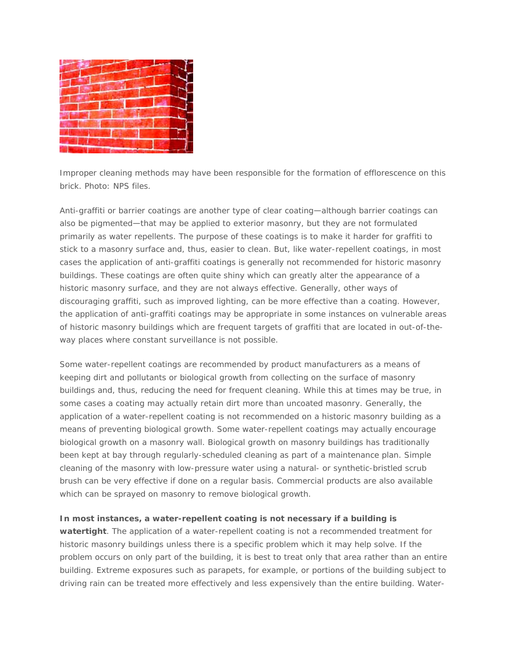

Improper cleaning methods may have been responsible for the formation of efflorescence on this brick. Photo: NPS files.

Anti-graffiti or barrier coatings are another type of clear coating—although barrier coatings can also be pigmented—that may be applied to exterior masonry, but they are not formulated primarily as water repellents. The purpose of these coatings is to make it harder for graffiti to stick to a masonry surface and, thus, easier to clean. But, like water-repellent coatings, in most cases the application of anti-graffiti coatings is generally not recommended for historic masonry buildings. These coatings are often quite shiny which can greatly alter the appearance of a historic masonry surface, and they are not always effective. Generally, other ways of discouraging graffiti, such as improved lighting, can be more effective than a coating. However, the application of anti-graffiti coatings may be appropriate in some instances on vulnerable areas of historic masonry buildings which are frequent targets of graffiti that are located in out-of-theway places where constant surveillance is not possible.

Some water-repellent coatings are recommended by product manufacturers as a means of keeping dirt and pollutants or biological growth from collecting on the surface of masonry buildings and, thus, reducing the need for frequent cleaning. While this at times may be true, in some cases a coating may actually retain dirt more than uncoated masonry. Generally, the application of a water-repellent coating is not recommended on a historic masonry building as a means of preventing biological growth. Some water-repellent coatings may actually encourage biological growth on a masonry wall. Biological growth on masonry buildings has traditionally been kept at bay through regularly-scheduled cleaning as part of a maintenance plan. Simple cleaning of the masonry with low-pressure water using a natural- or synthetic-bristled scrub brush can be very effective if done on a regular basis. Commercial products are also available which can be sprayed on masonry to remove biological growth.

#### **In most instances, a water-repellent coating is not necessary if a building is**

**watertight**. The application of a water-repellent coating is not a recommended treatment for historic masonry buildings unless there is a specific problem which it may help solve. If the problem occurs on only part of the building, it is best to treat only that area rather than an entire building. Extreme exposures such as parapets, for example, or portions of the building subject to driving rain can be treated more effectively and less expensively than the entire building. Water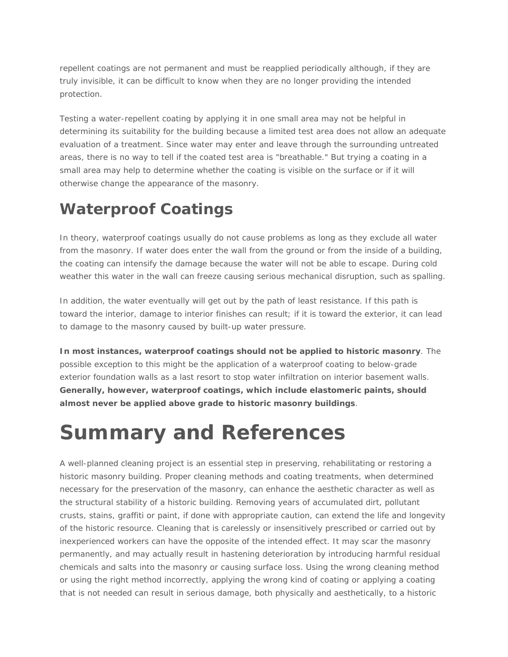repellent coatings are not permanent and must be reapplied periodically although, if they are truly invisible, it can be difficult to know when they are no longer providing the intended protection.

Testing a water-repellent coating by applying it in one small area may not be helpful in determining its suitability for the building because a limited test area does not allow an adequate evaluation of a treatment. Since water may enter and leave through the surrounding untreated areas, there is no way to tell if the coated test area is "breathable." But trying a coating in a small area may help to determine whether the coating is visible on the surface or if it will otherwise change the appearance of the masonry.

### **Waterproof Coatings**

In theory, waterproof coatings usually do not cause problems as long as they exclude all water from the masonry. If water does enter the wall from the ground or from the inside of a building, the coating can intensify the damage because the water will not be able to escape. During cold weather this water in the wall can freeze causing serious mechanical disruption, such as spalling.

In addition, the water eventually will get out by the path of least resistance. If this path is toward the interior, damage to interior finishes can result; if it is toward the exterior, it can lead to damage to the masonry caused by built-up water pressure.

**In most instances, waterproof coatings should not be applied to historic masonry**. The possible exception to this might be the application of a waterproof coating to below-grade exterior foundation walls as a last resort to stop water infiltration on interior basement walls. **Generally, however, waterproof coatings, which include** *elastomeric paints***, should almost never be applied above grade to historic masonry buildings**.

## **Summary and References**

A well-planned cleaning project is an essential step in preserving, rehabilitating or restoring a historic masonry building. Proper cleaning methods and coating treatments, when determined necessary for the preservation of the masonry, can enhance the aesthetic character as well as the structural stability of a historic building. Removing years of accumulated dirt, pollutant crusts, stains, graffiti or paint, if done with appropriate caution, can extend the life and longevity of the historic resource. Cleaning that is carelessly or insensitively prescribed or carried out by inexperienced workers can have the opposite of the intended effect. It may scar the masonry permanently, and may actually result in hastening deterioration by introducing harmful residual chemicals and salts into the masonry or causing surface loss. Using the wrong cleaning method or using the right method incorrectly, applying the wrong kind of coating or applying a coating that is not needed can result in serious damage, both physically and aesthetically, to a historic